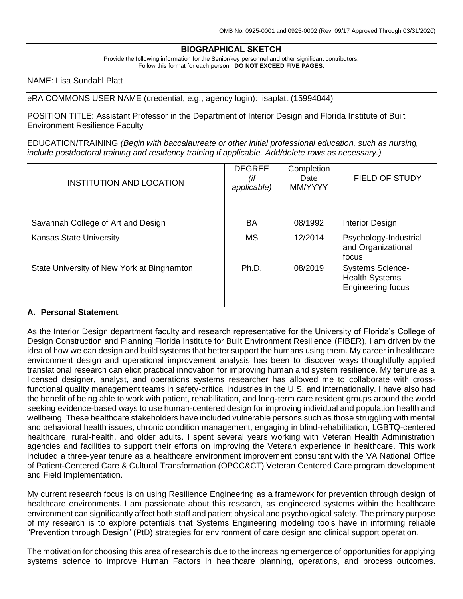# **BIOGRAPHICAL SKETCH**

Provide the following information for the Senior/key personnel and other significant contributors. Follow this format for each person. **DO NOT EXCEED FIVE PAGES.**

NAME: Lisa Sundahl Platt

eRA COMMONS USER NAME (credential, e.g., agency login): lisaplatt (15994044)

POSITION TITLE: Assistant Professor in the Department of Interior Design and Florida Institute of Built Environment Resilience Faculty

EDUCATION/TRAINING *(Begin with baccalaureate or other initial professional education, such as nursing, include postdoctoral training and residency training if applicable. Add/delete rows as necessary.)*

| <b>INSTITUTION AND LOCATION</b>            | <b>DEGREE</b><br>(if<br>applicable) | Completion<br>Date<br>MM/YYYY | <b>FIELD OF STUDY</b>                                                        |
|--------------------------------------------|-------------------------------------|-------------------------------|------------------------------------------------------------------------------|
|                                            |                                     |                               |                                                                              |
| Savannah College of Art and Design         | BA                                  | 08/1992                       | <b>Interior Design</b>                                                       |
| <b>Kansas State University</b>             | <b>MS</b>                           | 12/2014                       | Psychology-Industrial<br>and Organizational<br>focus                         |
| State University of New York at Binghamton | Ph.D.                               | 08/2019                       | <b>Systems Science-</b><br><b>Health Systems</b><br><b>Engineering focus</b> |

#### **A. Personal Statement**

As the Interior Design department faculty and research representative for the University of Florida's College of Design Construction and Planning Florida Institute for Built Environment Resilience (FIBER), I am driven by the idea of how we can design and build systems that better support the humans using them. My career in healthcare environment design and operational improvement analysis has been to discover ways thoughtfully applied translational research can elicit practical innovation for improving human and system resilience. My tenure as a licensed designer, analyst, and operations systems researcher has allowed me to collaborate with crossfunctional quality management teams in safety-critical industries in the U.S. and internationally. I have also had the benefit of being able to work with patient, rehabilitation, and long-term care resident groups around the world seeking evidence-based ways to use human-centered design for improving individual and population health and wellbeing. These healthcare stakeholders have included vulnerable persons such as those struggling with mental and behavioral health issues, chronic condition management, engaging in blind-rehabilitation, LGBTQ-centered healthcare, rural-health, and older adults. I spent several years working with Veteran Health Administration agencies and facilities to support their efforts on improving the Veteran experience in healthcare. This work included a three-year tenure as a healthcare environment improvement consultant with the VA National Office of Patient-Centered Care & Cultural Transformation (OPCC&CT) Veteran Centered Care program development and Field Implementation.

My current research focus is on using Resilience Engineering as a framework for prevention through design of healthcare environments. I am passionate about this research, as engineered systems within the healthcare environment can significantly affect both staff and patient physical and psychological safety. The primary purpose of my research is to explore potentials that Systems Engineering modeling tools have in informing reliable "Prevention through Design" (PtD) strategies for environment of care design and clinical support operation.

The motivation for choosing this area of research is due to the increasing emergence of opportunities for applying systems science to improve Human Factors in healthcare planning, operations, and process outcomes.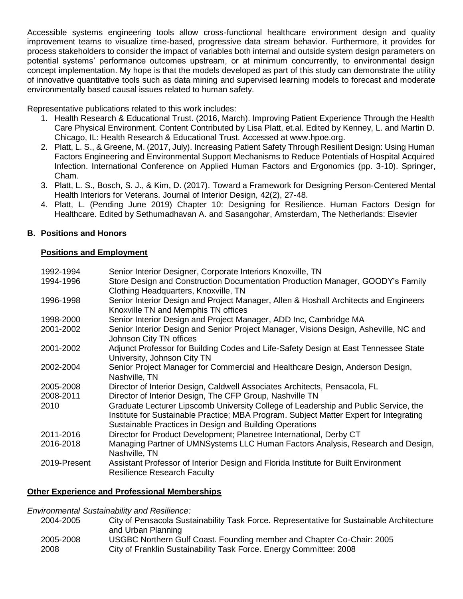Accessible systems engineering tools allow cross-functional healthcare environment design and quality improvement teams to visualize time-based, progressive data stream behavior. Furthermore, it provides for process stakeholders to consider the impact of variables both internal and outside system design parameters on potential systems' performance outcomes upstream, or at minimum concurrently, to environmental design concept implementation. My hope is that the models developed as part of this study can demonstrate the utility of innovative quantitative tools such as data mining and supervised learning models to forecast and moderate environmentally based causal issues related to human safety.

Representative publications related to this work includes:

- 1. Health Research & Educational Trust. (2016, March). Improving Patient Experience Through the Health Care Physical Environment. Content Contributed by Lisa Platt, et.al. Edited by Kenney, L. and Martin D. Chicago, IL: Health Research & Educational Trust. Accessed at www.hpoe.org.
- 2. Platt, L. S., & Greene, M. (2017, July). Increasing Patient Safety Through Resilient Design: Using Human Factors Engineering and Environmental Support Mechanisms to Reduce Potentials of Hospital Acquired Infection. International Conference on Applied Human Factors and Ergonomics (pp. 3-10). Springer, Cham.
- 3. Platt, L. S., Bosch, S. J., & Kim, D. (2017). Toward a Framework for Designing Person‐Centered Mental Health Interiors for Veterans. Journal of Interior Design, 42(2), 27-48.
- 4. Platt, L. (Pending June 2019) Chapter 10: Designing for Resilience. Human Factors Design for Healthcare. Edited by Sethumadhavan A. and Sasangohar, Amsterdam, The Netherlands: Elsevier

# **B. Positions and Honors**

#### **Positions and Employment**

| 1992-1994    | Senior Interior Designer, Corporate Interiors Knoxville, TN                                                                                                                                                                              |
|--------------|------------------------------------------------------------------------------------------------------------------------------------------------------------------------------------------------------------------------------------------|
| 1994-1996    | Store Design and Construction Documentation Production Manager, GOODY's Family<br>Clothing Headquarters, Knoxville, TN                                                                                                                   |
| 1996-1998    | Senior Interior Design and Project Manager, Allen & Hoshall Architects and Engineers<br>Knoxville TN and Memphis TN offices                                                                                                              |
| 1998-2000    | Senior Interior Design and Project Manager, ADD Inc, Cambridge MA                                                                                                                                                                        |
| 2001-2002    | Senior Interior Design and Senior Project Manager, Visions Design, Asheville, NC and<br>Johnson City TN offices                                                                                                                          |
| 2001-2002    | Adjunct Professor for Building Codes and Life-Safety Design at East Tennessee State<br>University, Johnson City TN                                                                                                                       |
| 2002-2004    | Senior Project Manager for Commercial and Healthcare Design, Anderson Design,<br>Nashville, TN                                                                                                                                           |
| 2005-2008    | Director of Interior Design, Caldwell Associates Architects, Pensacola, FL                                                                                                                                                               |
| 2008-2011    | Director of Interior Design, The CFP Group, Nashville TN                                                                                                                                                                                 |
| 2010         | Graduate Lecturer Lipscomb University College of Leadership and Public Service, the<br>Institute for Sustainable Practice; MBA Program. Subject Matter Expert for Integrating<br>Sustainable Practices in Design and Building Operations |
| 2011-2016    | Director for Product Development; Planetree International, Derby CT                                                                                                                                                                      |
| 2016-2018    | Managing Partner of UMNSystems LLC Human Factors Analysis, Research and Design,<br>Nashville, TN                                                                                                                                         |
| 2019-Present | Assistant Professor of Interior Design and Florida Institute for Built Environment<br><b>Resilience Research Faculty</b>                                                                                                                 |

#### **Other Experience and Professional Memberships**

*Environmental Sustainability and Resilience:*

- 2004-2005 City of Pensacola Sustainability Task Force. Representative for Sustainable Architecture and Urban Planning 2005-2008 USGBC Northern Gulf Coast. Founding member and Chapter Co-Chair: 2005
- 2008 City of Franklin Sustainability Task Force. Energy Committee: 2008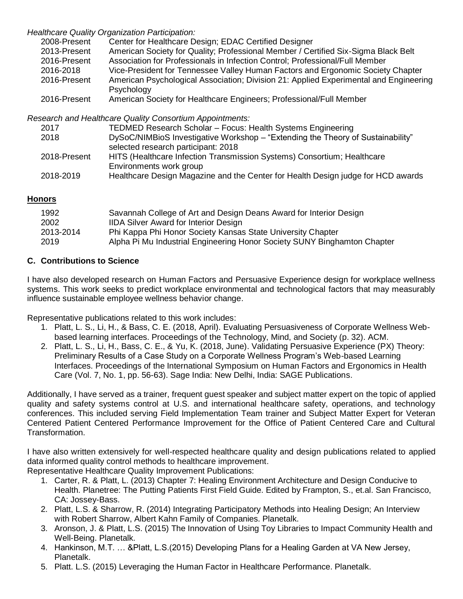### *Healthcare Quality Organization Participation:*

| 2008-Present    | Center for Healthcare Design; EDAC Certified Designer                                 |
|-----------------|---------------------------------------------------------------------------------------|
| 2013-Present    | American Society for Quality; Professional Member / Certified Six-Sigma Black Belt    |
| 2016-Present    | Association for Professionals in Infection Control; Professional/Full Member          |
| 2016-2018       | Vice-President for Tennessee Valley Human Factors and Ergonomic Society Chapter       |
| 2016-Present    | American Psychological Association; Division 21: Applied Experimental and Engineering |
|                 | Psychology                                                                            |
| $2016$ -Drocont | Amorican Society for Hoalthcare Engineers: Professional/Full Momber                   |

2016-Present American Society for Healthcare Engineers; Professional/Full Member

*Research and Healthcare Quality Consortium Appointments:*

| 2017         | TEDMED Research Scholar - Focus: Health Systems Engineering                      |
|--------------|----------------------------------------------------------------------------------|
| 2018         | DySoC/NIMBioS Investigative Workshop - "Extending the Theory of Sustainability"  |
|              | selected research participant: 2018                                              |
| 2018-Present | HITS (Healthcare Infection Transmission Systems) Consortium; Healthcare          |
|              | Environments work group                                                          |
| 2018-2019    | Healthcare Design Magazine and the Center for Health Design judge for HCD awards |

# **Honors**

| 1992      | Savannah College of Art and Design Deans Award for Interior Design       |
|-----------|--------------------------------------------------------------------------|
| 2002      | <b>IIDA Silver Award for Interior Design</b>                             |
| 2013-2014 | Phi Kappa Phi Honor Society Kansas State University Chapter              |
| 2019      | Alpha Pi Mu Industrial Engineering Honor Society SUNY Binghamton Chapter |

# **C. Contributions to Science**

I have also developed research on Human Factors and Persuasive Experience design for workplace wellness systems. This work seeks to predict workplace environmental and technological factors that may measurably influence sustainable employee wellness behavior change.

Representative publications related to this work includes:

- 1. Platt, L. S., Li, H., & Bass, C. E. (2018, April). Evaluating Persuasiveness of Corporate Wellness Webbased learning interfaces. Proceedings of the Technology, Mind, and Society (p. 32). ACM.
- 2. Platt, L. S., Li, H., Bass, C. E., & Yu, K. (2018, June). Validating Persuasive Experience (PX) Theory: Preliminary Results of a Case Study on a Corporate Wellness Program's Web-based Learning Interfaces. Proceedings of the International Symposium on Human Factors and Ergonomics in Health Care (Vol. 7, No. 1, pp. 56-63). Sage India: New Delhi, India: SAGE Publications.

Additionally, I have served as a trainer, frequent guest speaker and subject matter expert on the topic of applied quality and safety systems control at U.S. and international healthcare safety, operations, and technology conferences. This included serving Field Implementation Team trainer and Subject Matter Expert for Veteran Centered Patient Centered Performance Improvement for the Office of Patient Centered Care and Cultural Transformation.

I have also written extensively for well-respected healthcare quality and design publications related to applied data informed quality control methods to healthcare improvement. Representative Healthcare Quality Improvement Publications:

- 1. [Carter, R. & Platt, L. \(2013\) Chapter 7: Healing Environment Architecture and Design Conducive to](https://smile.amazon.com/Putting-Patients-First-Field-Guide/dp/1118444949/ref=smi_www_rco2_go_smi_3905707922?_encoding=UTF8&%2AVersion%2A=1&%2Aentries%2A=0&ie=UTF8)  [Health. Planetree: The Putting Patients First Field Guide. Edited by Frampton, S., et.al. San Francisco,](https://smile.amazon.com/Putting-Patients-First-Field-Guide/dp/1118444949/ref=smi_www_rco2_go_smi_3905707922?_encoding=UTF8&%2AVersion%2A=1&%2Aentries%2A=0&ie=UTF8)  [CA: Jossey-Bass.](https://smile.amazon.com/Putting-Patients-First-Field-Guide/dp/1118444949/ref=smi_www_rco2_go_smi_3905707922?_encoding=UTF8&%2AVersion%2A=1&%2Aentries%2A=0&ie=UTF8)
- 2. Platt, L.S. & Sharrow, R. (2014) Integrating Participatory Methods into Healing Design; An Interview with Robert Sharrow, Albert Kahn Family of Companies. Planetalk.
- 3. Aronson, J. & Platt, L.S. (2015) The Innovation of Using Toy Libraries to Impact Community Health and Well-Being. Planetalk.
- 4. Hankinson, M.T. … &Platt, L.S.(2015) Developing Plans for a Healing Garden at VA New Jersey, Planetalk.
- 5. Platt. L.S. (2015) Leveraging the Human Factor in Healthcare Performance. Planetalk.